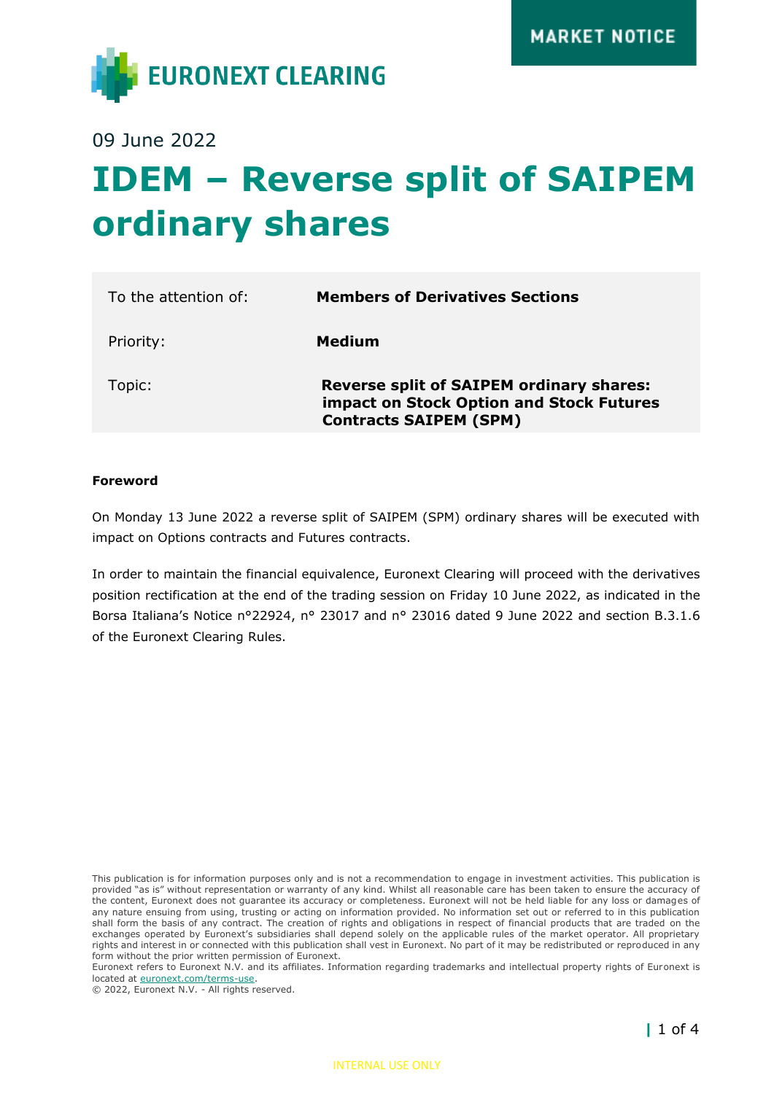

09 June 2022

# **IDEM – Reverse split of SAIPEM ordinary shares**

| To the attention of: | <b>Members of Derivatives Sections</b>                                                                                       |
|----------------------|------------------------------------------------------------------------------------------------------------------------------|
| Priority:            | Medium                                                                                                                       |
| Topic:               | <b>Reverse split of SAIPEM ordinary shares:</b><br>impact on Stock Option and Stock Futures<br><b>Contracts SAIPEM (SPM)</b> |

#### **Foreword**

On Monday 13 June 2022 a reverse split of SAIPEM (SPM) ordinary shares will be executed with impact on Options contracts and Futures contracts.

In order to maintain the financial equivalence, Euronext Clearing will proceed with the derivatives position rectification at the end of the trading session on Friday 10 June 2022, as indicated in the Borsa Italiana's Notice n°22924, n° 23017 and n° 23016 dated 9 June 2022 and section B.3.1.6 of the Euronext Clearing Rules.

This publication is for information purposes only and is not a recommendation to engage in investment activities. This publication is provided "as is" without representation or warranty of any kind. Whilst all reasonable care has been taken to ensure the accuracy of the content, Euronext does not guarantee its accuracy or completeness. Euronext will not be held liable for any loss or damages of any nature ensuing from using, trusting or acting on information provided. No information set out or referred to in this publication shall form the basis of any contract. The creation of rights and obligations in respect of financial products that are traded on the exchanges operated by Euronext's subsidiaries shall depend solely on the applicable rules of the market operator. All proprietary rights and interest in or connected with this publication shall vest in Euronext. No part of it may be redistributed or reproduced in any form without the prior written permission of Euronext.

Euronext refers to Euronext N.V. and its affiliates. Information regarding trademarks and intellectual property rights of Euronext is located at [euronext.com/terms-use.](https://www.euronext.com/terms-use)

© 2022, Euronext N.V. - All rights reserved.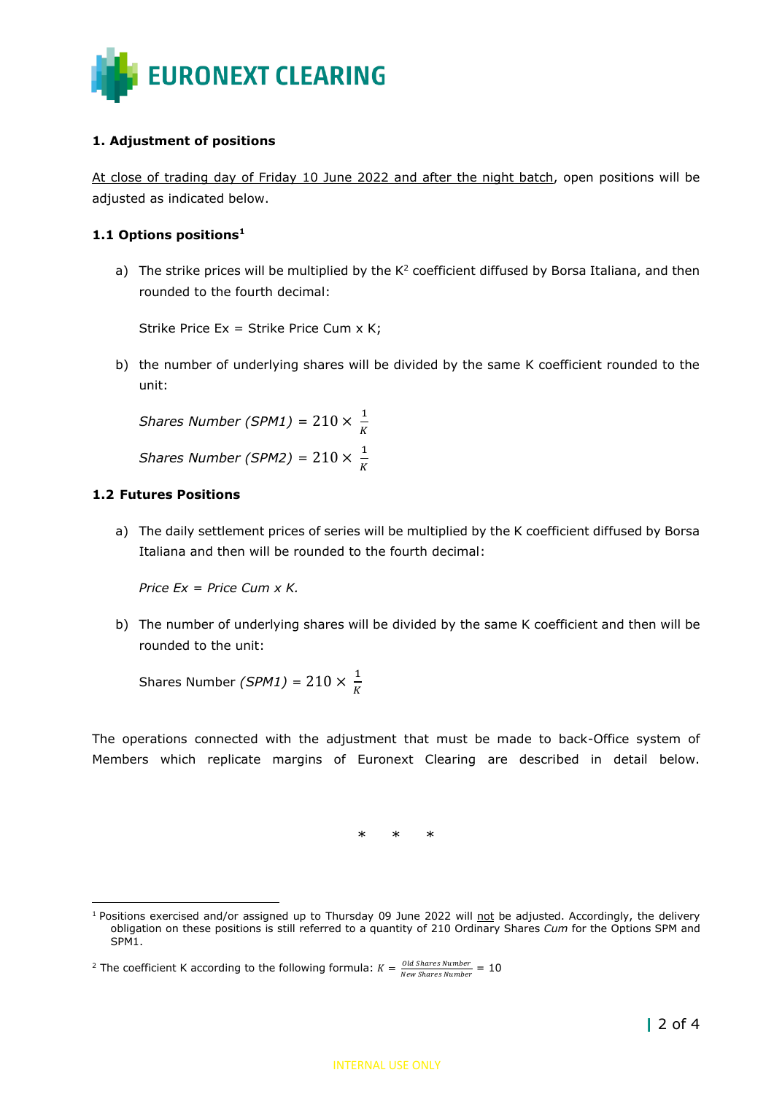

### **1. Adjustment of positions**

At close of trading day of Friday 10 June 2022 and after the night batch, open positions will be adjusted as indicated below.

#### **1.1 Options positions<sup>1</sup>**

a) The strike prices will be multiplied by the  $K^2$  coefficient diffused by Borsa Italiana, and then rounded to the fourth decimal:

Strike Price Ex = Strike Price Cum x K;

b) the number of underlying shares will be divided by the same K coefficient rounded to the unit:

*Shares Number (SPM1)* =  $210 \times \frac{1}{\nu}$ K *Shares Number (SPM2)* =  $210 \times \frac{1}{\nu}$ K

#### **1.2 Futures Positions**

a) The daily settlement prices of series will be multiplied by the K coefficient diffused by Borsa Italiana and then will be rounded to the fourth decimal:

*Price Ex = Price Cum x K.*

b) The number of underlying shares will be divided by the same K coefficient and then will be rounded to the unit:

Shares Number *(SPM1)* =  $210 \times \frac{1}{\nu}$ K

The operations connected with the adjustment that must be made to back-Office system of Members which replicate margins of Euronext Clearing are described in detail below.

\* \* \*

<sup>&</sup>lt;sup>1</sup> Positions exercised and/or assigned up to Thursday 09 June 2022 will not be adjusted. Accordingly, the delivery obligation on these positions is still referred to a quantity of 210 Ordinary Shares *Cum* for the Options SPM and SPM<sub>1</sub>.

<sup>&</sup>lt;sup>2</sup> The coefficient K according to the following formula:  $K = \frac{Old\ Shares\ Number}{Num\ Shures\ Number}$  $\frac{0.00 \text{ N} \cdot \text{m}}{$  New Shares Number  $= 10$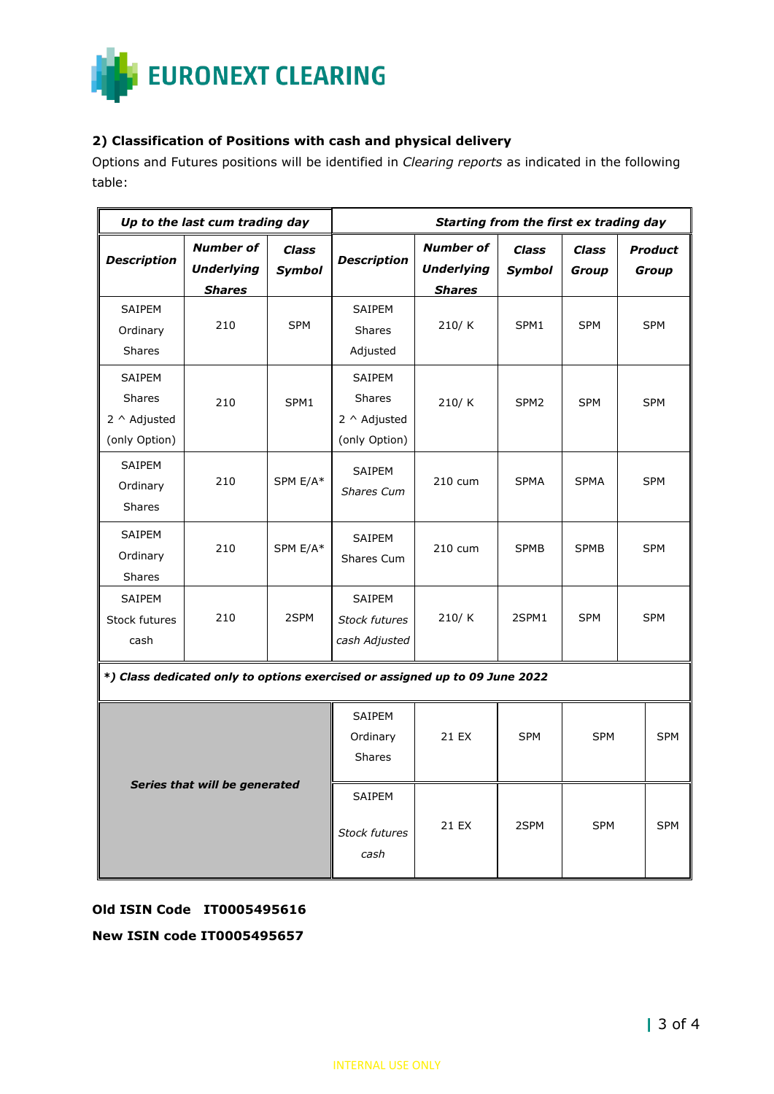

#### **2) Classification of Positions with cash and physical delivery**

Options and Futures positions will be identified in *Clearing reports* as indicated in the following table:

| Up to the last cum trading day                                              |                                                        |                               | Starting from the first ex trading day                          |                                                        |                               |                       |                         |  |  |
|-----------------------------------------------------------------------------|--------------------------------------------------------|-------------------------------|-----------------------------------------------------------------|--------------------------------------------------------|-------------------------------|-----------------------|-------------------------|--|--|
| <b>Description</b>                                                          | <b>Number of</b><br><b>Underlying</b><br><b>Shares</b> | <b>Class</b><br><b>Symbol</b> | <b>Description</b>                                              | <b>Number of</b><br><b>Underlying</b><br><b>Shares</b> | <b>Class</b><br><b>Symbol</b> | <b>Class</b><br>Group | <b>Product</b><br>Group |  |  |
| SAIPEM<br>Ordinary<br><b>Shares</b>                                         | 210                                                    | <b>SPM</b>                    | SAIPEM<br><b>Shares</b><br>Adjusted                             | 210/K                                                  | SPM1                          | <b>SPM</b>            | <b>SPM</b>              |  |  |
| SAIPEM<br>Shares<br>$2 \wedge$ Adjusted<br>(only Option)                    | 210                                                    | SPM1                          | SAIPEM<br><b>Shares</b><br>$2 \wedge$ Adjusted<br>(only Option) | 210/K                                                  | SPM <sub>2</sub>              | <b>SPM</b>            | <b>SPM</b>              |  |  |
| SAIPEM<br>Ordinary<br><b>Shares</b>                                         | 210                                                    | SPM E/A*                      | SAIPEM<br><b>Shares Cum</b>                                     | 210 cum                                                | <b>SPMA</b>                   | <b>SPMA</b>           | <b>SPM</b>              |  |  |
| SAIPEM<br>Ordinary<br>Shares                                                | 210                                                    | SPM E/A*                      | SAIPEM<br>Shares Cum                                            | 210 cum                                                | <b>SPMB</b>                   | <b>SPMB</b>           | <b>SPM</b>              |  |  |
| SAIPEM<br>Stock futures<br>cash                                             | 210                                                    | 2SPM                          | SAIPEM<br><b>Stock futures</b><br>cash Adjusted                 | 210/K                                                  | 2SPM1                         | <b>SPM</b>            | <b>SPM</b>              |  |  |
| *) Class dedicated only to options exercised or assigned up to 09 June 2022 |                                                        |                               |                                                                 |                                                        |                               |                       |                         |  |  |
|                                                                             | Series that will be generated                          |                               | SAIPEM<br>Ordinary<br><b>Shares</b>                             | 21 EX                                                  | <b>SPM</b>                    | <b>SPM</b>            | <b>SPM</b>              |  |  |

## **Old ISIN Code IT0005495616**

#### **New ISIN code IT0005495657**

21 EX 2SPM SPM SPM

SAIPEM

*Stock futures cash*